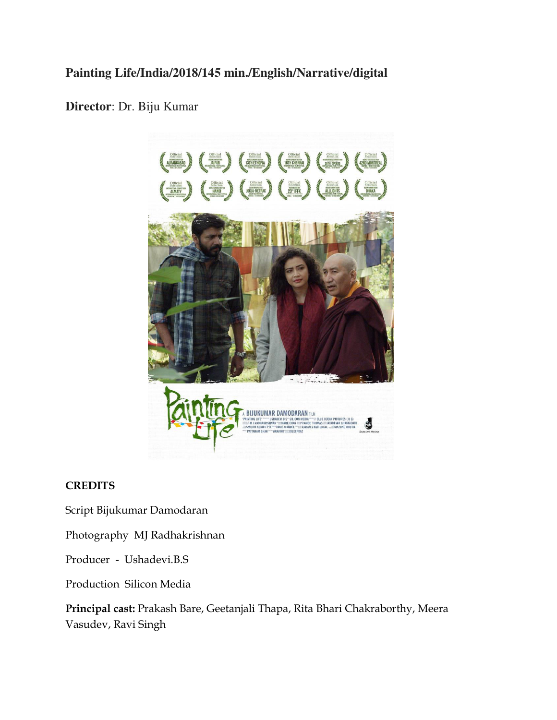# **Painting Life/India/2018/145 min./English/Narrative/digital**

## **Director**: Dr. Biju Kumar



## **CREDITS**

Script Bijukumar Damodaran

Photography MJ Radhakrishnan

Producer - Ushadevi.B.S

Production Silicon Media

**Principal cast:** Prakash Bare, Geetanjali Thapa, Rita Bhari Chakraborthy, Meera Vasudev, Ravi Singh